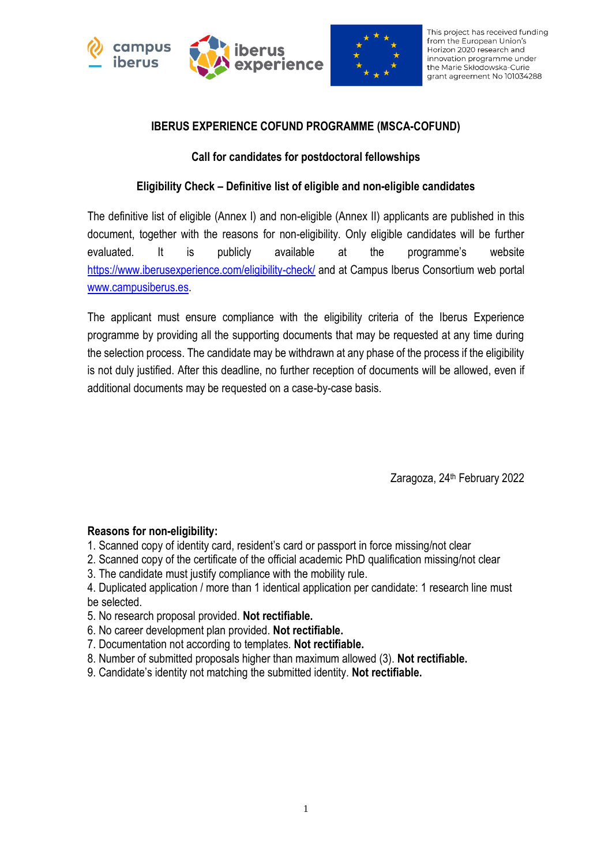



This project has received funding from the European Union's Horizon 2020 research and innovation programme under the Marie Skłodowska-Curie grant agreement No 101034288

## **IBERUS EXPERIENCE COFUND PROGRAMME (MSCA-COFUND)**

### **Call for candidates for postdoctoral fellowships**

## **Eligibility Check – Definitive list of eligible and non-eligible candidates**

The definitive list of eligible (Annex I) and non-eligible (Annex II) applicants are published in this document, together with the reasons for non-eligibility. Only eligible candidates will be further evaluated. It is publicly available at the programme's website <https://www.iberusexperience.com/eligibility-check/> and at Campus Iberus Consortium web portal [www.campusiberus.es.](http://www.campusiberus.es/)

The applicant must ensure compliance with the eligibility criteria of the Iberus Experience programme by providing all the supporting documents that may be requested at any time during the selection process. The candidate may be withdrawn at any phase of the process if the eligibility is not duly justified. After this deadline, no further reception of documents will be allowed, even if additional documents may be requested on a case-by-case basis.

Zaragoza, 24<sup>th</sup> February 2022

#### **Reasons for non-eligibility:**

- 1. Scanned copy of identity card, resident's card or passport in force missing/not clear
- 2. Scanned copy of the certificate of the official academic PhD qualification missing/not clear
- 3. The candidate must justify compliance with the mobility rule.

4. Duplicated application / more than 1 identical application per candidate: 1 research line must be selected.

- 5. No research proposal provided. **Not rectifiable.**
- 6. No career development plan provided. **Not rectifiable.**
- 7. Documentation not according to templates. **Not rectifiable.**
- 8. Number of submitted proposals higher than maximum allowed (3). **Not rectifiable.**
- 9. Candidate's identity not matching the submitted identity. **Not rectifiable.**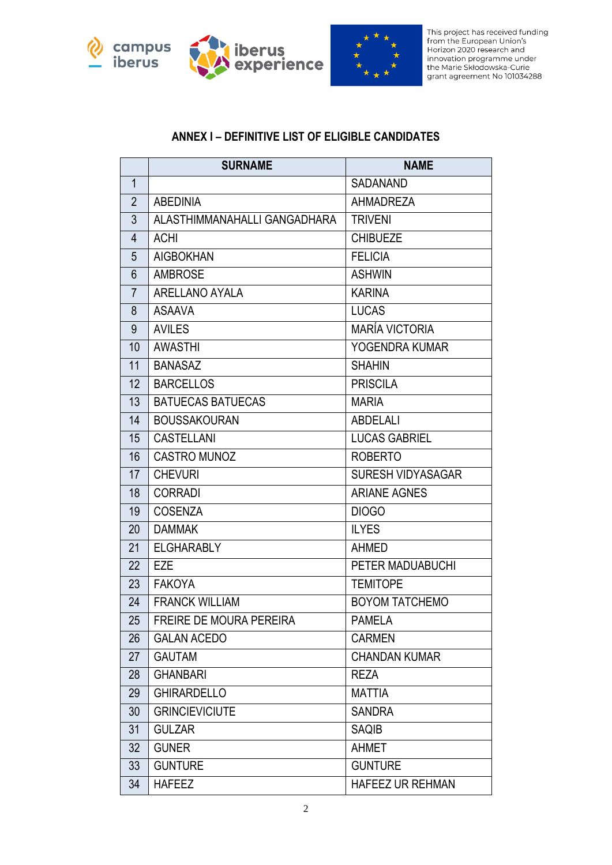





This project has received funding from the European Union's Horizon 2020 research and indizori zozo research and<br>innovation programme under<br>the Marie Skłodowska-Curie<br>grant agreement No 101034288

## **ANNEX I – DEFINITIVE LIST OF ELIGIBLE CANDIDATES**

|                 | <b>SURNAME</b>               | <b>NAME</b>              |  |
|-----------------|------------------------------|--------------------------|--|
| $\mathbf{1}$    |                              | <b>SADANAND</b>          |  |
| $\overline{2}$  | <b>ABEDINIA</b>              | <b>AHMADREZA</b>         |  |
| 3               | ALASTHIMMANAHALLI GANGADHARA | <b>TRIVENI</b>           |  |
| 4               | <b>ACHI</b>                  | <b>CHIBUEZE</b>          |  |
| 5               | <b>AIGBOKHAN</b>             | <b>FELICIA</b>           |  |
| $6\phantom{1}$  | <b>AMBROSE</b>               | <b>ASHWIN</b>            |  |
| $\overline{7}$  | ARELLANO AYALA               | <b>KARINA</b>            |  |
| 8               | <b>ASAAVA</b>                | <b>LUCAS</b>             |  |
| 9               | <b>AVILES</b>                | <b>MARÍA VICTORIA</b>    |  |
| 10              | <b>AWASTHI</b>               | YOGENDRA KUMAR           |  |
| 11              | <b>BANASAZ</b>               | <b>SHAHIN</b>            |  |
| 12              | <b>BARCELLOS</b>             | <b>PRISCILA</b>          |  |
| 13              | <b>BATUECAS BATUECAS</b>     | <b>MARIA</b>             |  |
| 14              | <b>BOUSSAKOURAN</b>          | <b>ABDELALI</b>          |  |
| 15              | <b>CASTELLANI</b>            | <b>LUCAS GABRIEL</b>     |  |
| 16              | <b>CASTRO MUNOZ</b>          | <b>ROBERTO</b>           |  |
| 17              | <b>CHEVURI</b>               | <b>SURESH VIDYASAGAR</b> |  |
| 18              | <b>CORRADI</b>               | <b>ARIANE AGNES</b>      |  |
| 19              | <b>COSENZA</b>               | <b>DIOGO</b>             |  |
| 20              | <b>DAMMAK</b>                | <b>ILYES</b>             |  |
| 21              | <b>ELGHARABLY</b>            | <b>AHMED</b>             |  |
| 22              | <b>EZE</b>                   | PETER MADUABUCHI         |  |
| 23              | <b>FAKOYA</b>                | <b>TEMITOPE</b>          |  |
| 24              | <b>FRANCK WILLIAM</b>        | <b>BOYOM TATCHEMO</b>    |  |
| 25              | FREIRE DE MOURA PEREIRA      | <b>PAMELA</b>            |  |
| 26              | <b>GALAN ACEDO</b>           | <b>CARMEN</b>            |  |
| 27              | <b>GAUTAM</b>                | <b>CHANDAN KUMAR</b>     |  |
| 28              | <b>GHANBARI</b>              | <b>REZA</b>              |  |
| 29              | <b>GHIRARDELLO</b>           | <b>MATTIA</b>            |  |
| 30              | <b>GRINCIEVICIUTE</b>        | <b>SANDRA</b>            |  |
| 31              | <b>GULZAR</b>                | <b>SAQIB</b>             |  |
| 32 <sub>2</sub> | <b>GUNER</b>                 | <b>AHMET</b>             |  |
| 33              | <b>GUNTURE</b>               | <b>GUNTURE</b>           |  |
| 34              | <b>HAFEEZ</b>                | HAFEEZ UR REHMAN         |  |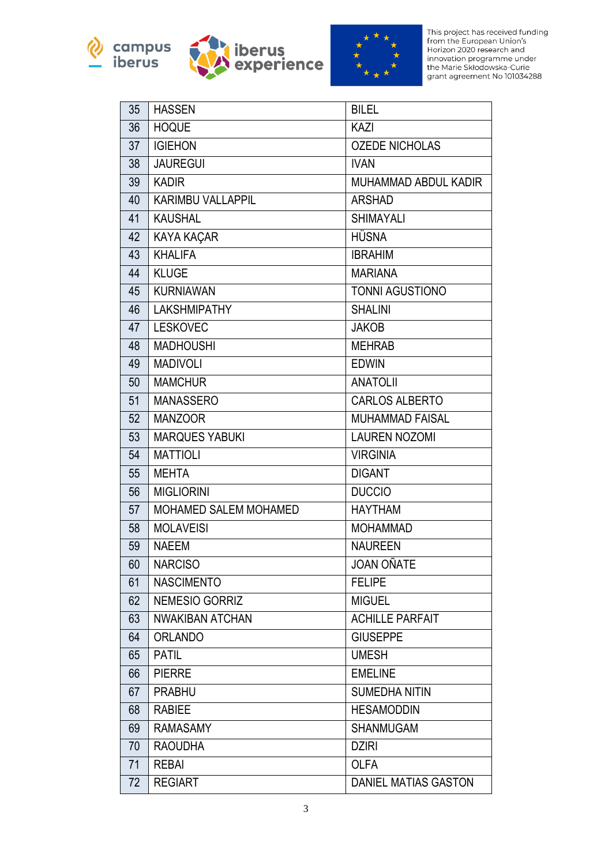





This project has received funding<br>from the European Union's<br>Horizon 2020 research and Horizon 2020 research and<br>innovation programme under<br>the Marie Skłodowska-Curie<br>grant agreement No 101034288

| 35              | <b>HASSEN</b>                    | <b>BILEL</b>           |  |
|-----------------|----------------------------------|------------------------|--|
| 36              | <b>HOQUE</b>                     | KAZI                   |  |
| 37              | <b>IGIEHON</b>                   | <b>OZEDE NICHOLAS</b>  |  |
| 38              | <b>JAUREGUI</b>                  | <b>IVAN</b>            |  |
| 39              | <b>KADIR</b>                     | MUHAMMAD ABDUL KADIR   |  |
| 40              | <b>KARIMBU VALLAPPIL</b>         | <b>ARSHAD</b>          |  |
| 41              | <b>KAUSHAL</b>                   | <b>SHIMAYALI</b>       |  |
| 42              | <b>KAYA KAÇAR</b>                | <b>HÜSNA</b>           |  |
| 43              | <b>KHALIFA</b><br><b>IBRAHIM</b> |                        |  |
| 44              | <b>KLUGE</b>                     | <b>MARIANA</b>         |  |
| 45              | <b>KURNIAWAN</b>                 | <b>TONNI AGUSTIONO</b> |  |
| 46              | <b>LAKSHMIPATHY</b>              | <b>SHALINI</b>         |  |
| 47              | <b>LESKOVEC</b>                  | <b>JAKOB</b>           |  |
| 48              | <b>MADHOUSHI</b>                 | <b>MEHRAB</b>          |  |
| 49              | <b>MADIVOLI</b>                  | <b>EDWIN</b>           |  |
| 50              | <b>MAMCHUR</b>                   | <b>ANATOLII</b>        |  |
| 51              | <b>MANASSERO</b>                 | <b>CARLOS ALBERTO</b>  |  |
| 52              | <b>MANZOOR</b>                   | <b>MUHAMMAD FAISAL</b> |  |
| 53              | <b>MARQUES YABUKI</b>            | <b>LAUREN NOZOMI</b>   |  |
| 54              | <b>MATTIOLI</b>                  | <b>VIRGINIA</b>        |  |
| 55              | <b>MEHTA</b>                     | <b>DIGANT</b>          |  |
| 56              | <b>MIGLIORINI</b>                | <b>DUCCIO</b>          |  |
| 57              | MOHAMED SALEM MOHAMED            | <b>HAYTHAM</b>         |  |
| 58              | <b>MOLAVEISI</b>                 | <b>MOHAMMAD</b>        |  |
| 59              | <b>NAEEM</b>                     | <b>NAUREEN</b>         |  |
| 60 <sub>1</sub> | <b>NARCISO</b>                   | <b>JOAN OÑATE</b>      |  |
| 61              | <b>NASCIMENTO</b>                | <b>FELIPE</b>          |  |
| 62              | NEMESIO GORRIZ                   | <b>MIGUEL</b>          |  |
| 63              | <b>NWAKIBAN ATCHAN</b>           | <b>ACHILLE PARFAIT</b> |  |
| 64              | <b>ORLANDO</b>                   | <b>GIUSEPPE</b>        |  |
| 65              | <b>PATIL</b>                     | <b>UMESH</b>           |  |
| 66              | <b>PIERRE</b>                    | <b>EMELINE</b>         |  |
| 67              | <b>PRABHU</b>                    | <b>SUMEDHA NITIN</b>   |  |
| 68              | <b>RABIEE</b>                    | <b>HESAMODDIN</b>      |  |
| 69              | <b>RAMASAMY</b>                  | <b>SHANMUGAM</b>       |  |
| 70              | <b>RAOUDHA</b>                   | <b>DZIRI</b>           |  |
| 71              | <b>REBAI</b>                     | <b>OLFA</b>            |  |
| 72              | <b>REGIART</b>                   | DANIEL MATIAS GASTON   |  |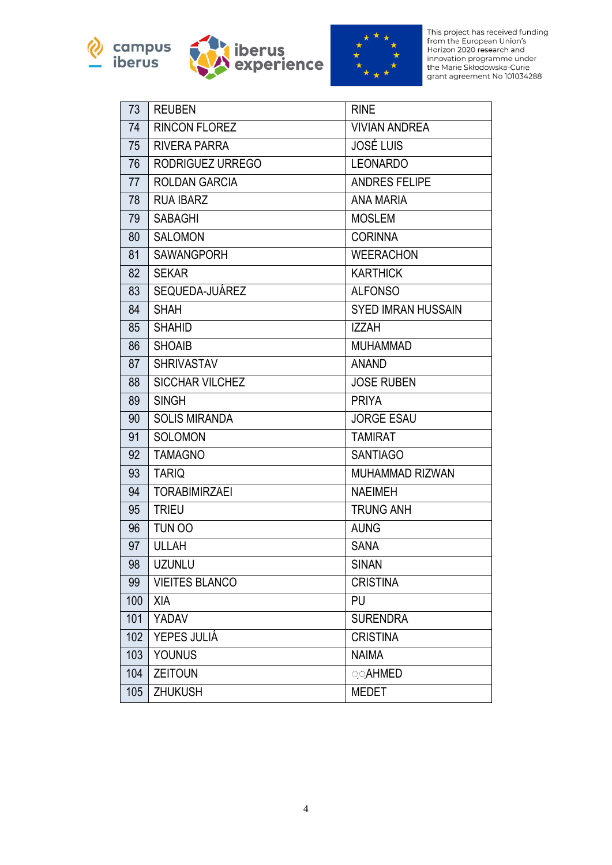





This project has received funding<br>from the European Union's<br>Horizon 2020 research and Horizon 2020 research and<br>innovation programme under<br>the Marie Skłodowska-Curie<br>grant agreement No 101034288

| 73  | <b>REUBEN</b>          | <b>RINE</b>               |  |
|-----|------------------------|---------------------------|--|
| 74  | <b>RINCON FLOREZ</b>   | <b>VIVIAN ANDREA</b>      |  |
| 75  | <b>RIVERA PARRA</b>    | <b>JOSÉ LUIS</b>          |  |
| 76  | RODRIGUEZ URREGO       | <b>LEONARDO</b>           |  |
| 77  | ROLDAN GARCIA          | <b>ANDRES FELIPE</b>      |  |
| 78  | <b>RUA IBARZ</b>       | <b>ANA MARIA</b>          |  |
| 79  | <b>SABAGHI</b>         | <b>MOSLEM</b>             |  |
| 80  | <b>SALOMON</b>         | <b>CORINNA</b>            |  |
| 81  | <b>SAWANGPORH</b>      | <b>WEERACHON</b>          |  |
| 82  | <b>SEKAR</b>           | <b>KARTHICK</b>           |  |
| 83  | SEQUEDA-JUÁREZ         | <b>ALFONSO</b>            |  |
| 84  | <b>SHAH</b>            | <b>SYED IMRAN HUSSAIN</b> |  |
| 85  | <b>SHAHID</b>          | <b>IZZAH</b>              |  |
| 86  | <b>SHOAIB</b>          | <b>MUHAMMAD</b>           |  |
| 87  | <b>SHRIVASTAV</b>      | <b>ANAND</b>              |  |
| 88  | <b>SICCHAR VILCHEZ</b> | <b>JOSE RUBEN</b>         |  |
| 89  | <b>SINGH</b>           | <b>PRIYA</b>              |  |
| 90  | <b>SOLIS MIRANDA</b>   | <b>JORGE ESAU</b>         |  |
| 91  | <b>SOLOMON</b>         | <b>TAMIRAT</b>            |  |
| 92  | <b>TAMAGNO</b>         | <b>SANTIAGO</b>           |  |
| 93  | <b>TARIQ</b>           | <b>MUHAMMAD RIZWAN</b>    |  |
| 94  | <b>TORABIMIRZAEI</b>   | <b>NAEIMEH</b>            |  |
| 95  | <b>TRIEU</b>           | <b>TRUNG ANH</b>          |  |
| 96  | TUN OO                 | <b>AUNG</b>               |  |
| 97  | <b>ULLAH</b>           | <b>SANA</b>               |  |
| 98  | <b>UZUNLU</b>          | <b>SINAN</b>              |  |
| 99  | <b>VIEITES BLANCO</b>  | <b>CRISTINA</b>           |  |
| 100 | XIA                    | PU                        |  |
| 101 | YADAV                  | <b>SURENDRA</b>           |  |
| 102 | YEPES JULIÁ            | <b>CRISTINA</b>           |  |
| 103 | <b>YOUNUS</b>          | <b>NAIMA</b>              |  |
| 104 | <b>ZEITOUN</b>         | <b>OOAHMED</b>            |  |
| 105 | <b>ZHUKUSH</b>         | <b>MEDET</b>              |  |
|     |                        |                           |  |